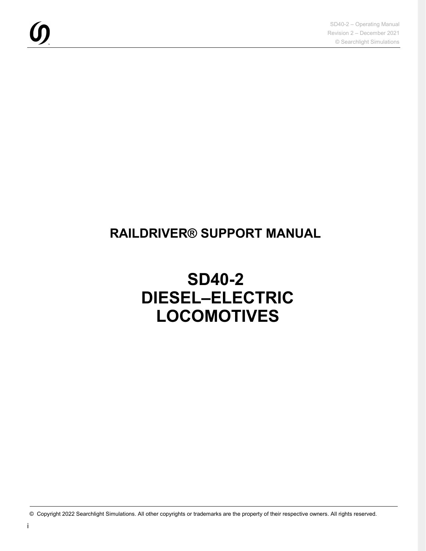### **RAILDRIVER® SUPPORT MANUAL**

# **SD40-2 DIESEL–ELECTRIC LOCOMOTIVES**

© Copyright 2022 Searchlight Simulations. All other copyrights or trademarks are the property of their respective owners. All rights reserved.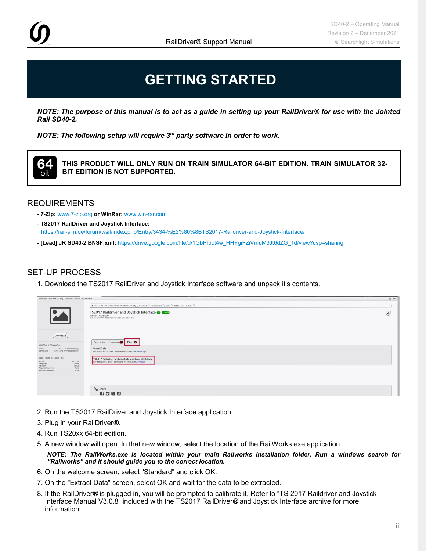## **GETTING STARTED**

*NOTE: The purpose of this manual is to act as a guide in setting up your RailDriver® for use with the Jointed Rail SD40-2.*

*NOTE: The following setup will require 3rd party software In order to work.*



**THIS PRODUCT WILL ONLY RUN ON TRAIN SIMULATOR 64-BIT EDITION. TRAIN SIMULATOR 32- BIT EDITION IS NOT SUPPORTED.**

#### REQUIREMENTS

- **7-Zip:** [www.7-zip.org](http://www.7-zip.org/) **or WinRar:** www.win-rar.com
- **TS2017 RailDriver and Joystick Interface:** <https://rail-sim.de/forum/wsif/index.php/Entry/3434-%E2%80%8BTS2017-Raildriver-and-Joystick-Interface/>
- **[Lead] JR SD40-2 BNSF.xml:** https://drive.google.com/file/d/1GbPfbot4w\_HHYgiFZiVmuM3Jt6dZG\_1d/view?usp=sharing

### SET-UP PROCESS

1. Download the TS2017 RailDriver and Joystick Interface software and unpack it's contents.

| the contract of the contract of the contract of the contract of the contract of<br>Scenario-Assistent (BETA) Tutorial: How to upload a file                                                                             |                                                                                                                                                                                                                                                                 | <b>d</b> +    |
|-------------------------------------------------------------------------------------------------------------------------------------------------------------------------------------------------------------------------|-----------------------------------------------------------------------------------------------------------------------------------------------------------------------------------------------------------------------------------------------------------------|---------------|
|                                                                                                                                                                                                                         | # Rat-Sm.de - Die deutsche Train Simulator Community > Downloads > Train Simulator > Other > Modified keys > Other ><br>TS2017 Raildriver and Joystick Interface @ 13209<br>hoizroler - Aug 9th 2017<br>Thor, Berliner079, MCGermanyFan and 3 others like this. | $\circledast$ |
| Download<br>GENERAL INFORMATION<br>5,417 (7.74 Views Per Day)<br>Views:<br>1,738 (2.48 Downloads Per Day)<br>Downloads:<br>ADDITIONAL INFORMATION<br>Cobra One<br>Author:<br>English<br>Language:<br>V3,0,8<br>Version: | Description Comments D Files O<br>DirectX.zip<br>Nov 5th 2018 - 100.68 MB - downloaded 543 times, last: 2 hours ago<br>TS2017 Raildriver and Joystick Interface V3.0.8.zip<br>May 16th 2019 - 7.86 MB - downloaded 195 times, last: 2 hours ago                 |               |
| Required Payware:<br>None<br>Required Freeware:<br>none                                                                                                                                                                 | % Share<br>1日28日                                                                                                                                                                                                                                                |               |

- 2. Run the TS2017 RailDriver and Joystick Interface application.
- 3. Plug in your RailDriver*®*.
- 4. Run TS20xx 64-bit edition.
- 5. A new window will open. In that new window, select the location of the RailWorks.exe application.

*NOTE: The RailWorks.exe is located within your main Railworks installation folder. Run a windows search for "Railworks" and it should guide you to the correct location.*

- 6. On the welcome screen, select "Standard" and click OK.
- 7. On the "Extract Data" screen, select OK and wait for the data to be extracted.
- 8. If the RailDriver*®* is plugged in, you will be prompted to calibrate it. Refer to "TS 2017 Raildriver and Joystick Interface Manual V3.0.8" included with the TS2017 RailDriver*®* and Joystick Interface archive for more information.